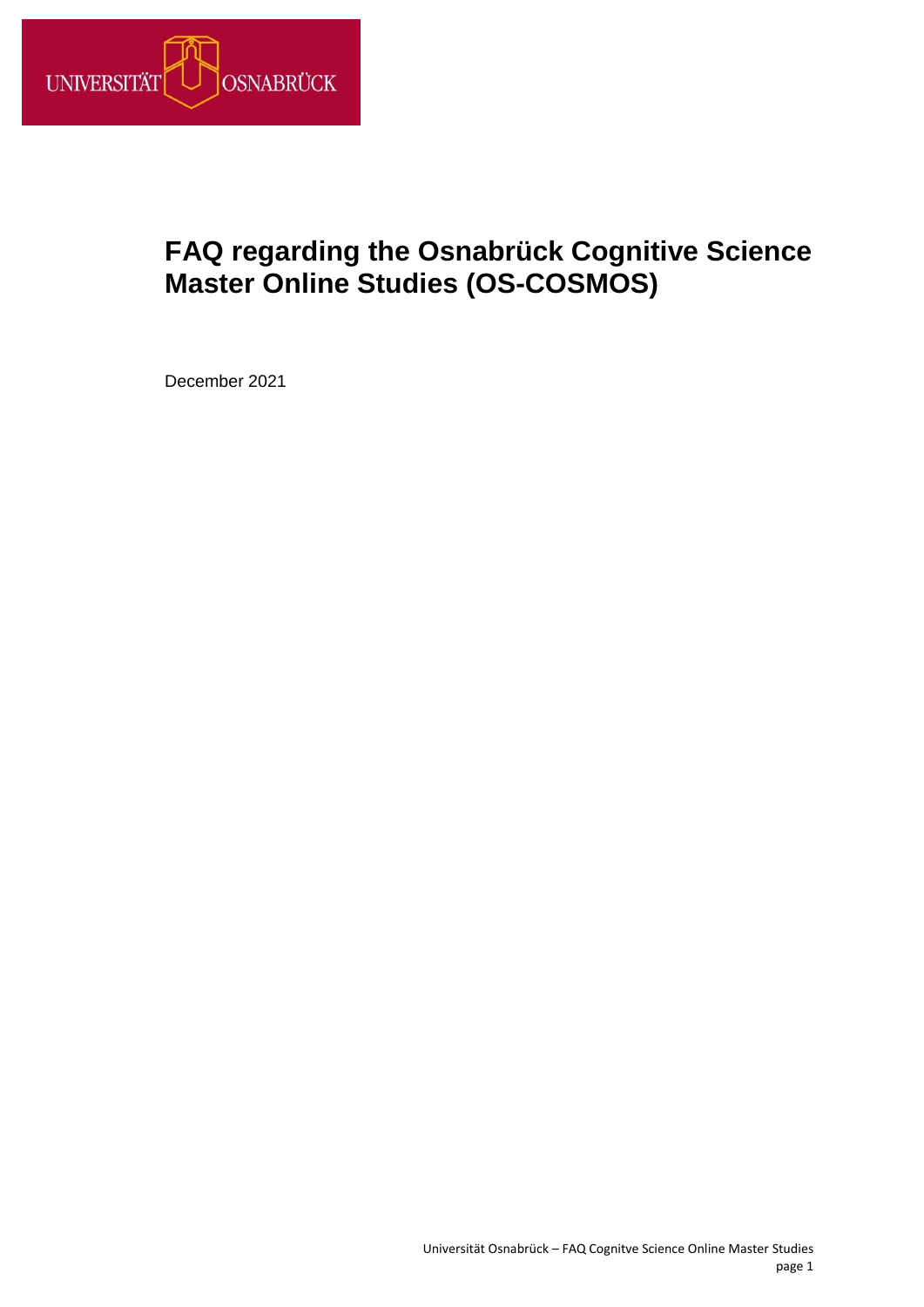<span id="page-0-0"></span>

# <span id="page-0-1"></span>**FAQ regarding the Osnabrück Cognitive Science Master Online Studies (OS-COSMOS)**

December 2021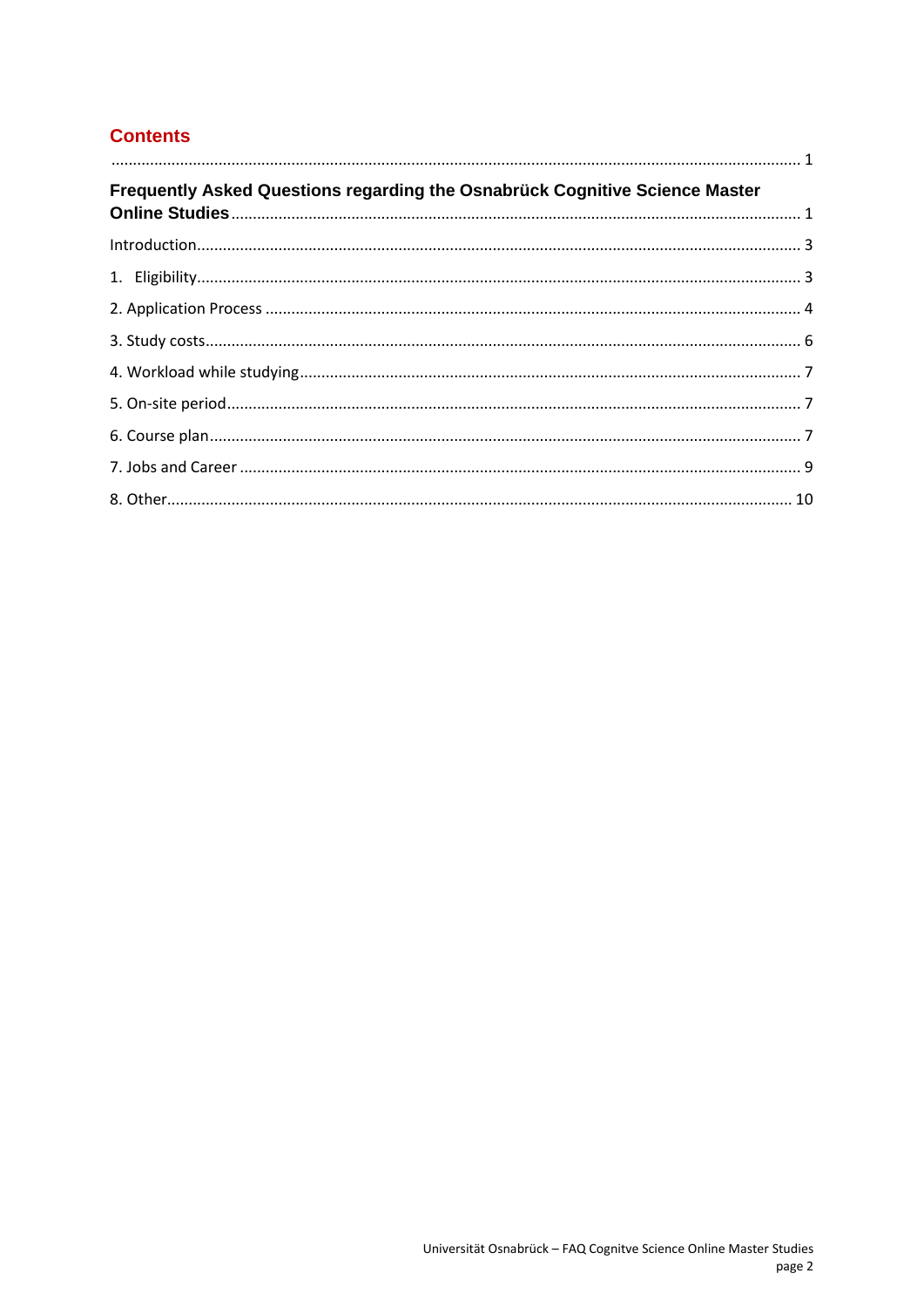# **Contents**

| $\begin{array}{c} \rule{10mm}{0mm} \rule{10mm}{0mm} \rule{10mm}{0mm} \rule{10mm}{0mm} \rule{10mm}{0mm} \rule{10mm}{0mm} \rule{10mm}{0mm} \rule{10mm}{0mm} \rule{10mm}{0mm} \rule{10mm}{0mm} \rule{10mm}{0mm} \rule{10mm}{0mm} \rule{10mm}{0mm} \rule{10mm}{0mm} \rule{10mm}{0mm} \rule{10mm}{0mm} \rule{10mm}{0mm} \rule{10mm}{0mm} \rule{10mm}{0mm} \rule{10mm}{0mm} \rule{10mm}{0mm} \rule{$ |  |
|------------------------------------------------------------------------------------------------------------------------------------------------------------------------------------------------------------------------------------------------------------------------------------------------------------------------------------------------------------------------------------------------|--|
| Frequently Asked Questions regarding the Osnabrück Cognitive Science Master                                                                                                                                                                                                                                                                                                                    |  |
|                                                                                                                                                                                                                                                                                                                                                                                                |  |
|                                                                                                                                                                                                                                                                                                                                                                                                |  |
|                                                                                                                                                                                                                                                                                                                                                                                                |  |
|                                                                                                                                                                                                                                                                                                                                                                                                |  |
|                                                                                                                                                                                                                                                                                                                                                                                                |  |
|                                                                                                                                                                                                                                                                                                                                                                                                |  |
|                                                                                                                                                                                                                                                                                                                                                                                                |  |
|                                                                                                                                                                                                                                                                                                                                                                                                |  |
|                                                                                                                                                                                                                                                                                                                                                                                                |  |
|                                                                                                                                                                                                                                                                                                                                                                                                |  |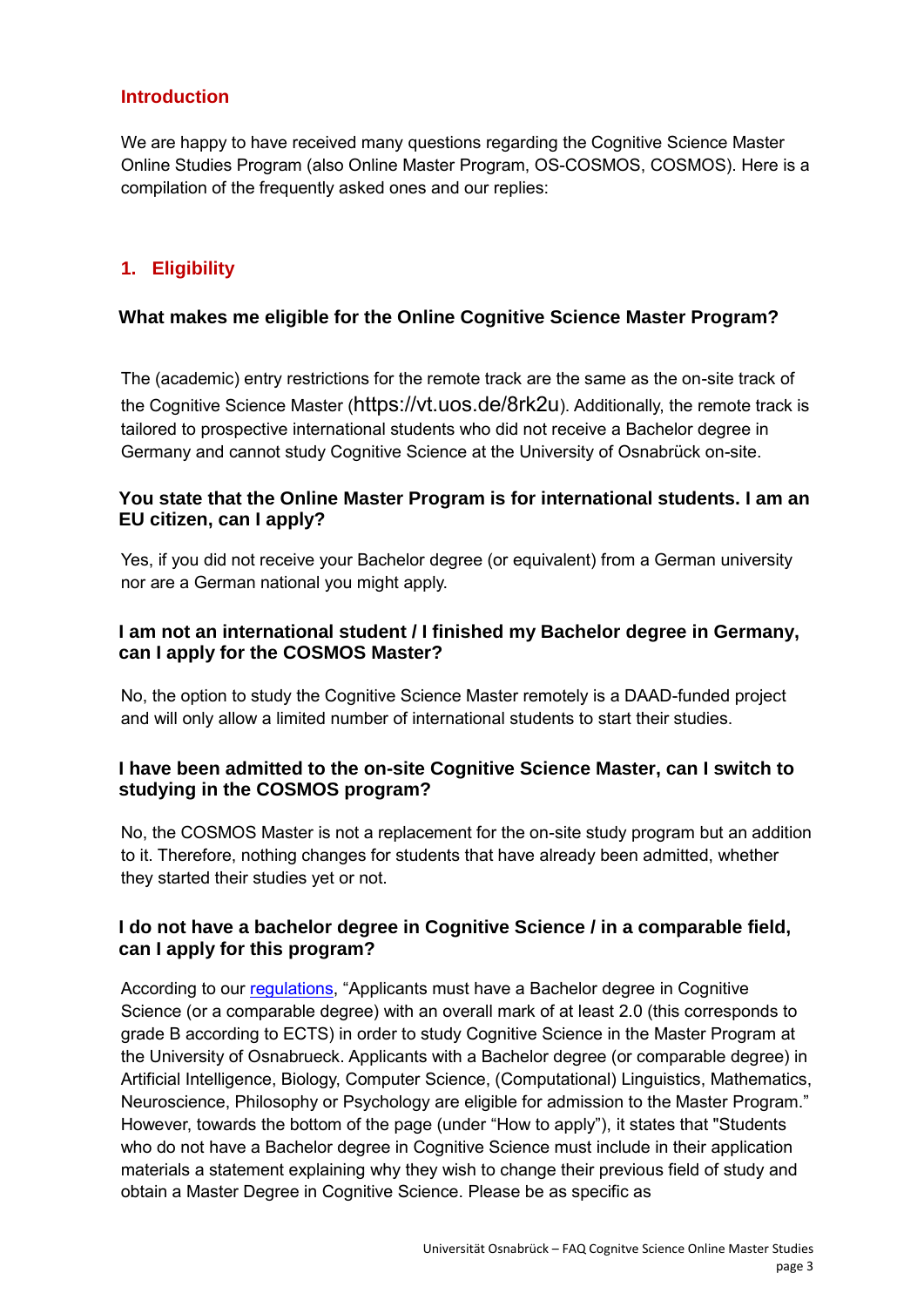# <span id="page-2-0"></span>**Introduction**

We are happy to have received many questions regarding the Cognitive Science Master Online Studies Program (also Online Master Program, OS-COSMOS, COSMOS). Here is a compilation of the frequently asked ones and our replies:

# <span id="page-2-1"></span>**1. Eligibility**

## **What makes me eligible for the Online Cognitive Science Master Program?**

The (academic) entry restrictions for the remote track are the same as the on-site track of the Cognitive Science Master (https://vt.uos.de/8rk2u). Additionally, the remote track is tailored to prospective international students who did not receive a Bachelor degree in Germany and cannot study Cognitive Science at the University of Osnabrück on-site.

## **You state that the Online Master Program is for international students. I am an EU citizen, can I apply?**

Yes, if you did not receive your Bachelor degree (or equivalent) from a German university nor are a German national you might apply.

# **I am not an international student / I finished my Bachelor degree in Germany, can I apply for the COSMOS Master?**

No, the option to study the Cognitive Science Master remotely is a DAAD-funded project and will only allow a limited number of international students to start their studies.

## **I have been admitted to the on-site Cognitive Science Master, can I switch to studying in the COSMOS program?**

No, the COSMOS Master is not a replacement for the on-site study program but an addition to it. Therefore, nothing changes for students that have already been admitted, whether they started their studies yet or not.

# **I do not have a bachelor degree in Cognitive Science / in a comparable field, can I apply for this program?**

According to our [regulations,](https://www.ikw.uni-osnabrueck.de/en/courses_of_study/master_programs/cognitive_science_msc/application.html) "Applicants must have a Bachelor degree in Cognitive Science (or a comparable degree) with an overall mark of at least 2.0 (this corresponds to grade B according to ECTS) in order to study Cognitive Science in the Master Program at the University of Osnabrueck. Applicants with a Bachelor degree (or comparable degree) in Artificial Intelligence, Biology, Computer Science, (Computational) Linguistics, Mathematics, Neuroscience, Philosophy or Psychology are eligible for admission to the Master Program." However, towards the bottom of the page (under "How to apply"), it states that "Students who do not have a Bachelor degree in Cognitive Science must include in their application materials a statement explaining why they wish to change their previous field of study and obtain a Master Degree in Cognitive Science. Please be as specific as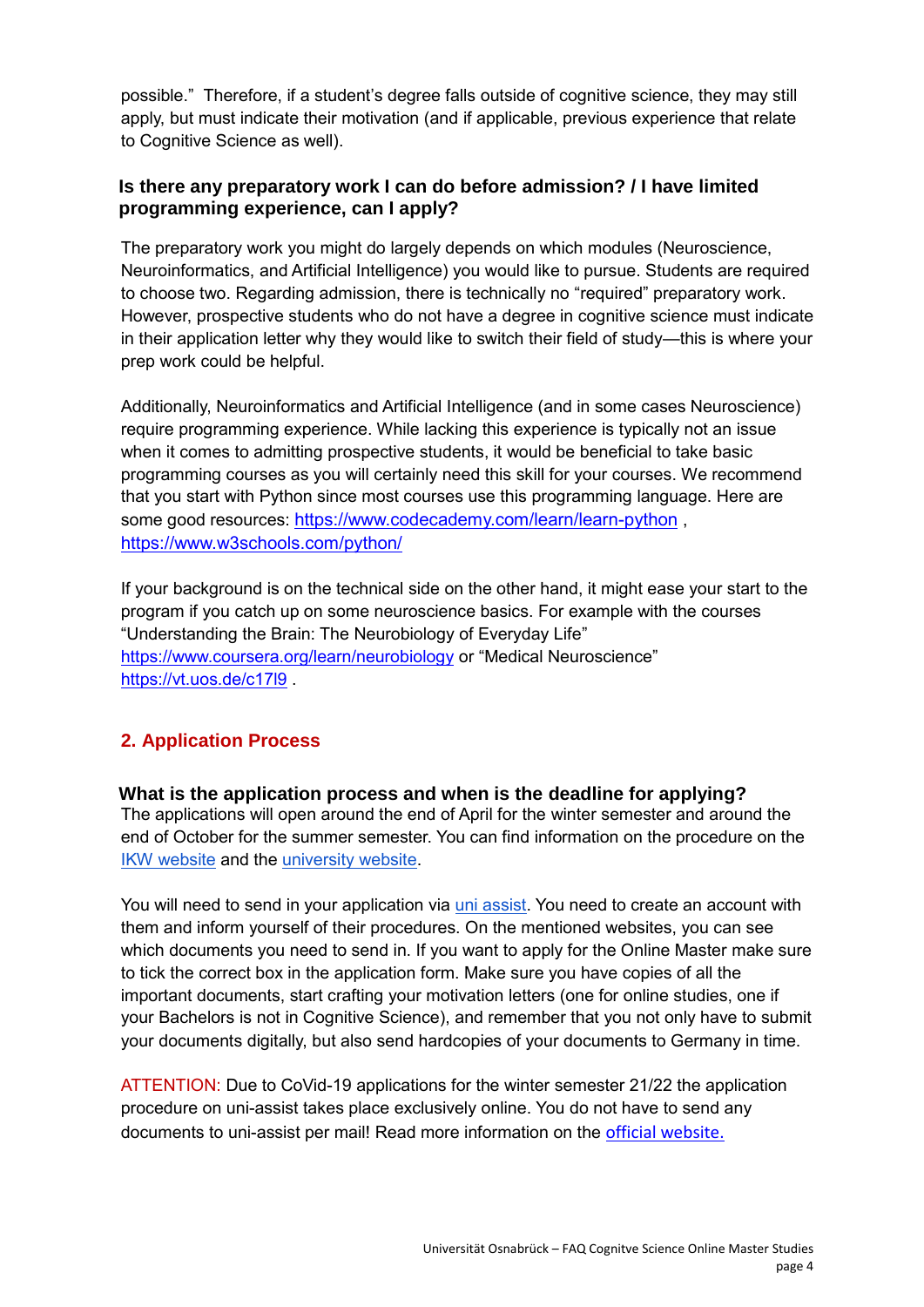possible." Therefore, if a student's degree falls outside of cognitive science, they may still apply, but must indicate their motivation (and if applicable, previous experience that relate to Cognitive Science as well).

# **Is there any preparatory work I can do before admission? / I have limited programming experience, can I apply?**

The preparatory work you might do largely depends on which modules (Neuroscience, Neuroinformatics, and Artificial Intelligence) you would like to pursue. Students are required to choose two. Regarding admission, there is technically no "required" preparatory work. However, prospective students who do not have a degree in cognitive science must indicate in their application letter why they would like to switch their field of study—this is where your prep work could be helpful.

Additionally, Neuroinformatics and Artificial Intelligence (and in some cases Neuroscience) require programming experience. While lacking this experience is typically not an issue when it comes to admitting prospective students, it would be beneficial to take basic programming courses as you will certainly need this skill for your courses. We recommend that you start with Python since most courses use this programming language. Here are some good resources: <https://www.codecademy.com/learn/learn-python>, <https://www.w3schools.com/python/>

If your background is on the technical side on the other hand, it might ease your start to the program if you catch up on some neuroscience basics. For example with the courses "Understanding the Brain: The Neurobiology of Everyday Life" <https://www.coursera.org/learn/neurobiology> or "Medical Neuroscience" <https://vt.uos.de/c17l9> .

# <span id="page-3-0"></span>**2. Application Process**

**What is the application process and when is the deadline for applying?** The applications will open around the end of April for the winter semester and around the end of October for the summer semester. You can find information on the procedure on the [IKW website](https://www.ikw.uni-osnabrueck.de/en/courses_of_study/master_program/cognitive_science_msc/application.html) and the [university website.](https://www.uni-osnabrueck.de/en/prospective-students/international-prospective-students/application/application-information/)

You will need to send in your application via [uni assist.](https://www.uni-assist.de/) You need to create an account with them and inform yourself of their procedures. On the mentioned websites, you can see which documents you need to send in. If you want to apply for the Online Master make sure to tick the correct box in the application form. Make sure you have copies of all the important documents, start crafting your motivation letters (one for online studies, one if your Bachelors is not in Cognitive Science), and remember that you not only have to submit your documents digitally, but also send hardcopies of your documents to Germany in time.

ATTENTION: Due to CoVid-19 applications for the winter semester 21/22 the application procedure on uni-assist takes place exclusively online. You do not have to send any documents to uni-assist per mail! Read more information on the [official website.](https://www.uni-osnabrueck.de/en/prospective-students/international-prospective-students/application/)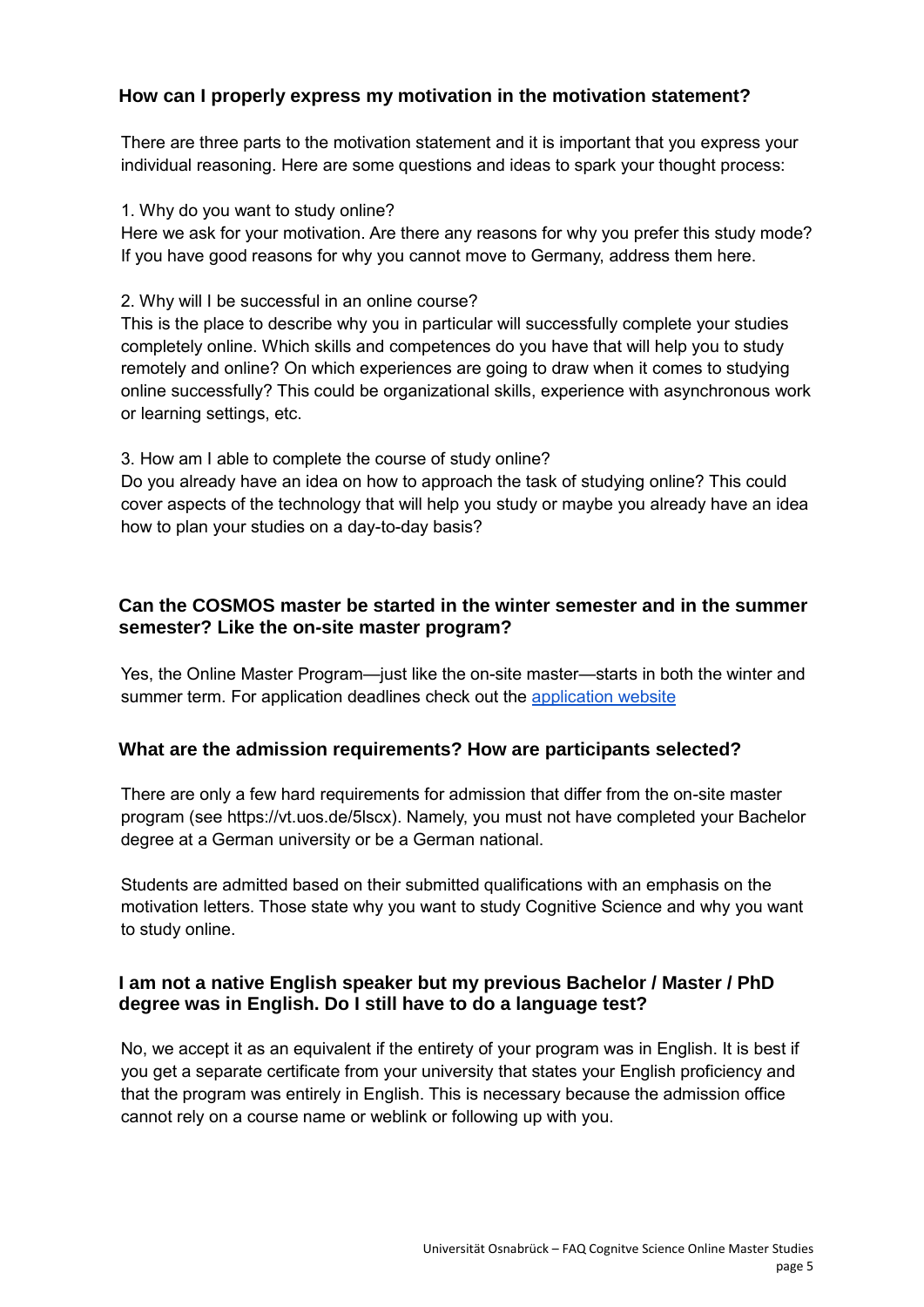# **How can I properly express my motivation in the motivation statement?**

There are three parts to the motivation statement and it is important that you express your individual reasoning. Here are some questions and ideas to spark your thought process:

1. Why do you want to study online?

Here we ask for your motivation. Are there any reasons for why you prefer this study mode? If you have good reasons for why you cannot move to Germany, address them here.

2. Why will I be successful in an online course?

This is the place to describe why you in particular will successfully complete your studies completely online. Which skills and competences do you have that will help you to study remotely and online? On which experiences are going to draw when it comes to studying online successfully? This could be organizational skills, experience with asynchronous work or learning settings, etc.

3. How am I able to complete the course of study online?

Do you already have an idea on how to approach the task of studying online? This could cover aspects of the technology that will help you study or maybe you already have an idea how to plan your studies on a day-to-day basis?

## **Can the COSMOS master be started in the winter semester and in the summer semester? Like the on-site master program?**

Yes, the Online Master Program—just like the on-site master—starts in both the winter and summer term. For application deadlines check out the [application website](https://www.ikw.uni-osnabrueck.de/en/courses_of_study/master_program/cognitive_science_msc/application.html)

## **What are the admission requirements? How are participants selected?**

There are only a few hard requirements for admission that differ from the on-site master program (see https://vt.uos.de/5lscx). Namely, you must not have completed your Bachelor degree at a German university or be a German national.

Students are admitted based on their submitted qualifications with an emphasis on the motivation letters. Those state why you want to study Cognitive Science and why you want to study online.

## **I am not a native English speaker but my previous Bachelor / Master / PhD degree was in English. Do I still have to do a language test?**

No, we accept it as an equivalent if the entirety of your program was in English. It is best if you get a separate certificate from your university that states your English proficiency and that the program was entirely in English. This is necessary because the admission office cannot rely on a course name or weblink or following up with you.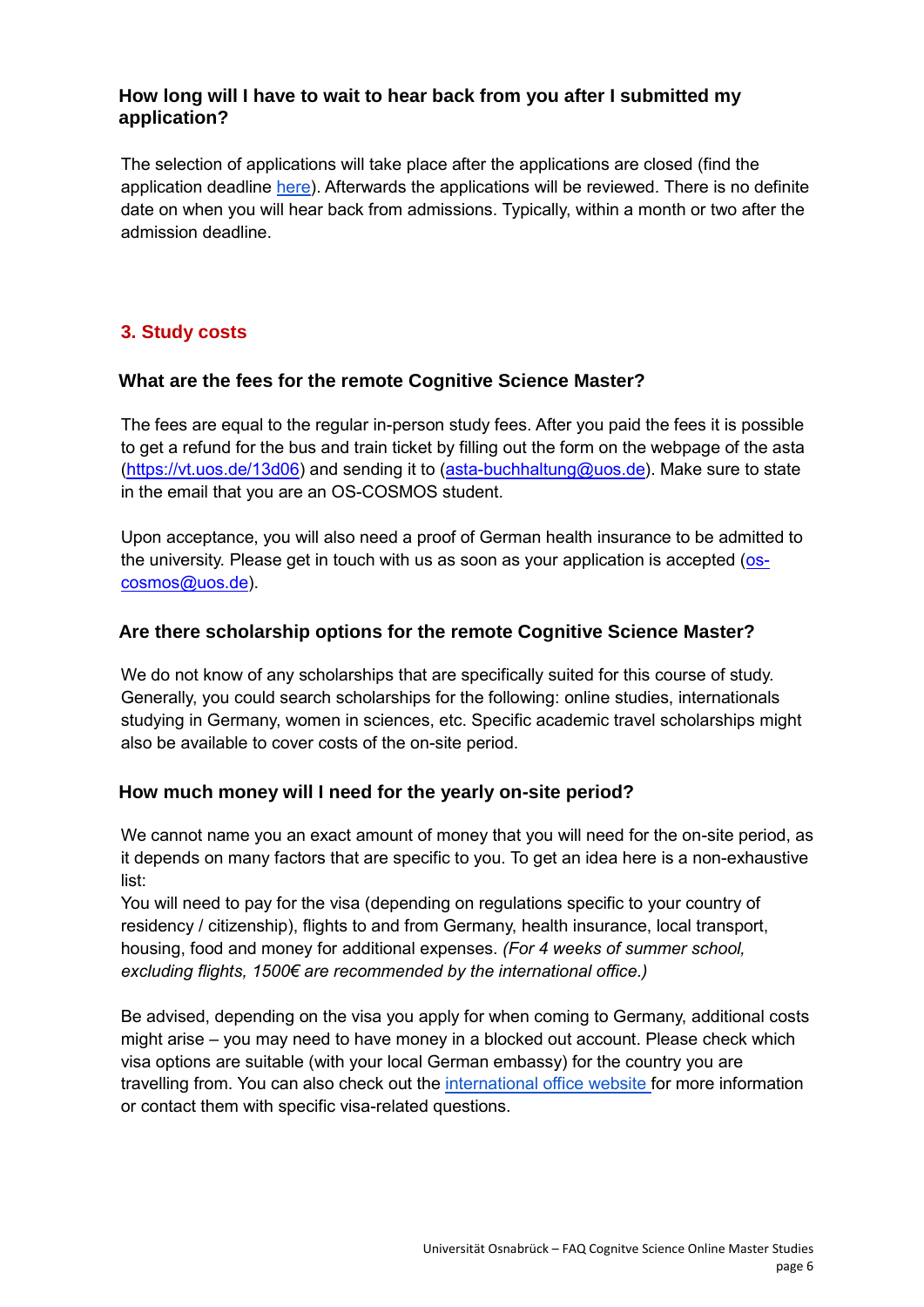# **How long will I have to wait to hear back from you after I submitted my application?**

The selection of applications will take place after the applications are closed (find the application deadline [here\)](https://www.ikw.uni-osnabrueck.de/en/courses_of_study/master_program/cognitive_science_msc/application.html). Afterwards the applications will be reviewed. There is no definite date on when you will hear back from admissions. Typically, within a month or two after the admission deadline.

# <span id="page-5-0"></span>**3. Study costs**

## **What are the fees for the remote Cognitive Science Master?**

The fees are equal to the regular in-person study fees. After you paid the fees it is possible to get a refund for the bus and train ticket by filling out the form on the webpage of the asta [\(https://vt.uos.de/13d06\)](https://vt.uos.de/13d06) and sending it to [\(asta-buchhaltung@uos.de\)](mailto:asta-buchhaltung@uos.de). Make sure to state in the email that you are an OS-COSMOS student.

Upon acceptance, you will also need a proof of German health insurance to be admitted to the university. Please get in touch with us as soon as your application is accepted  $(o<sub>s</sub>)$ [cosmos@uos.de\)](mailto:os-cosmos@uos.de).

# **Are there scholarship options for the remote Cognitive Science Master?**

We do not know of any scholarships that are specifically suited for this course of study. Generally, you could search scholarships for the following: online studies, internationals studying in Germany, women in sciences, etc. Specific academic travel scholarships might also be available to cover costs of the on-site period.

## <span id="page-5-1"></span>**How much money will I need for the yearly on-site period?**

We cannot name you an exact amount of money that you will need for the on-site period, as it depends on many factors that are specific to you. To get an idea here is a non-exhaustive list:

You will need to pay for the visa (depending on regulations specific to your country of residency / citizenship), flights to and from Germany, health insurance, local transport, housing, food and money for additional expenses. *(For 4 weeks of summer school, excluding flights, 1500€ are recommended by the international office.)*

Be advised, depending on the visa you apply for when coming to Germany, additional costs might arise – you may need to have money in a blocked out account. Please check which visa options are suitable (with your local German embassy) for the country you are travelling from. You can also check out the [international office website](https://www.uni-osnabrueck.de/en/university/service-facilities/studentisches/international-office/) for more information or contact them with specific visa-related questions.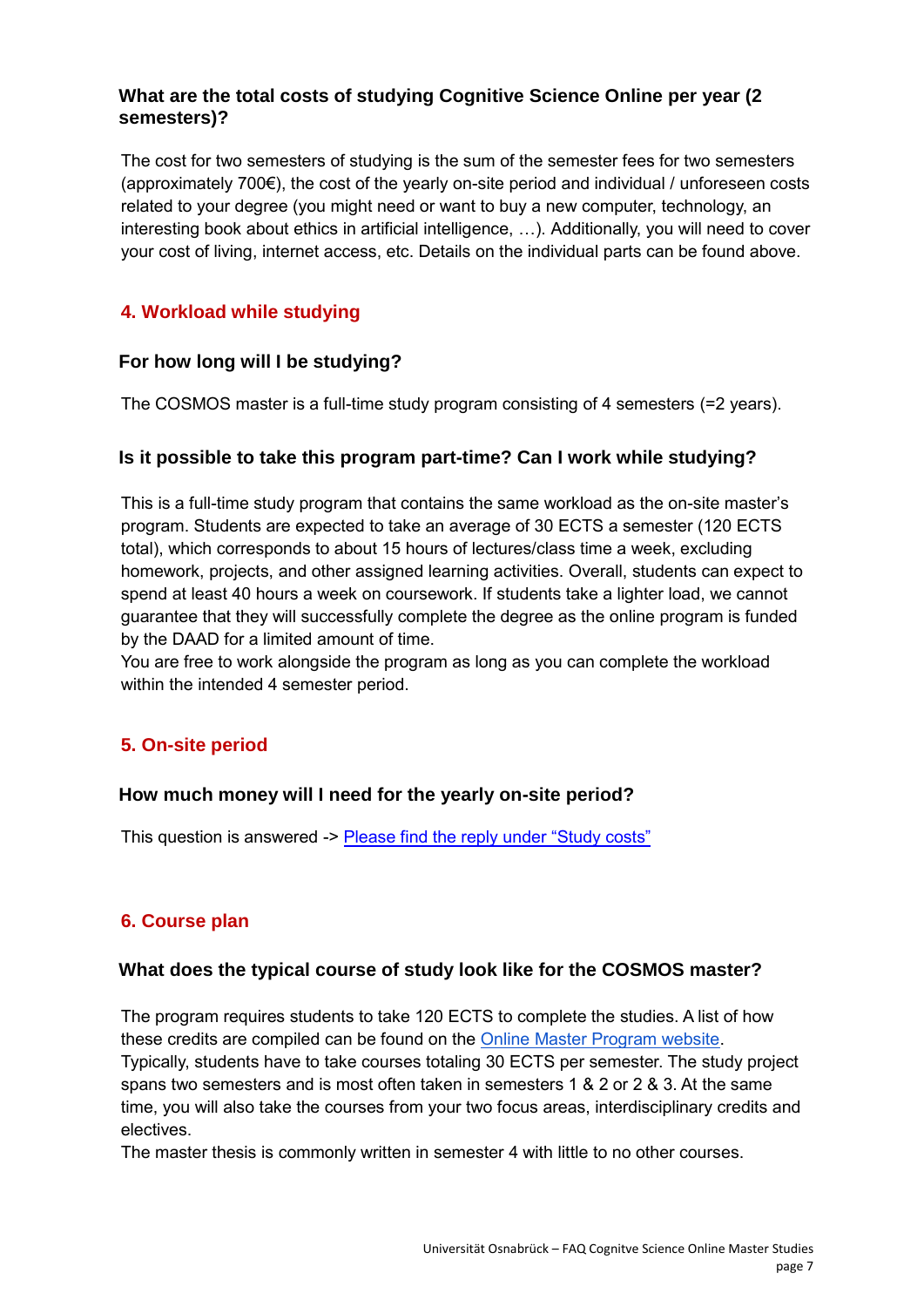# **What are the total costs of studying Cognitive Science Online per year (2 semesters)?**

The cost for two semesters of studying is the sum of the semester fees for two semesters (approximately 700€), the cost of the yearly on-site period and individual / unforeseen costs related to your degree (you might need or want to buy a new computer, technology, an interesting book about ethics in artificial intelligence, …). Additionally, you will need to cover your cost of living, internet access, etc. Details on the individual parts can be found above.

# <span id="page-6-0"></span>**4. Workload while studying**

## **For how long will I be studying?**

The COSMOS master is a full-time study program consisting of 4 semesters (=2 years).

# **Is it possible to take this program part-time? Can I work while studying?**

This is a full-time study program that contains the same workload as the on-site master's program. Students are expected to take an average of 30 ECTS a semester (120 ECTS total), which corresponds to about 15 hours of lectures/class time a week, excluding homework, projects, and other assigned learning activities. Overall, students can expect to spend at least 40 hours a week on coursework. If students take a lighter load, we cannot guarantee that they will successfully complete the degree as the online program is funded by the DAAD for a limited amount of time.

You are free to work alongside the program as long as you can complete the workload within the intended 4 semester period.

# <span id="page-6-1"></span>**5. On-site period**

## **How much money will I need for the yearly on-site period?**

This question is answered -> [Please find the reply under "Study costs"](#page-5-1)

# <span id="page-6-2"></span>**6. Course plan**

## **What does the typical course of study look like for the COSMOS master?**

The program requires students to take 120 ECTS to complete the studies. A list of how these credits are compiled can be found on the [Online Master Program website.](https://www.ikw.uni-osnabrueck.de/en/courses_of_study/master_program/cognitive_science_msc/online_master_program.html) Typically, students have to take courses totaling 30 ECTS per semester. The study project spans two semesters and is most often taken in semesters 1 & 2 or 2 & 3. At the same time, you will also take the courses from your two focus areas, interdisciplinary credits and electives.

The master thesis is commonly written in semester 4 with little to no other courses.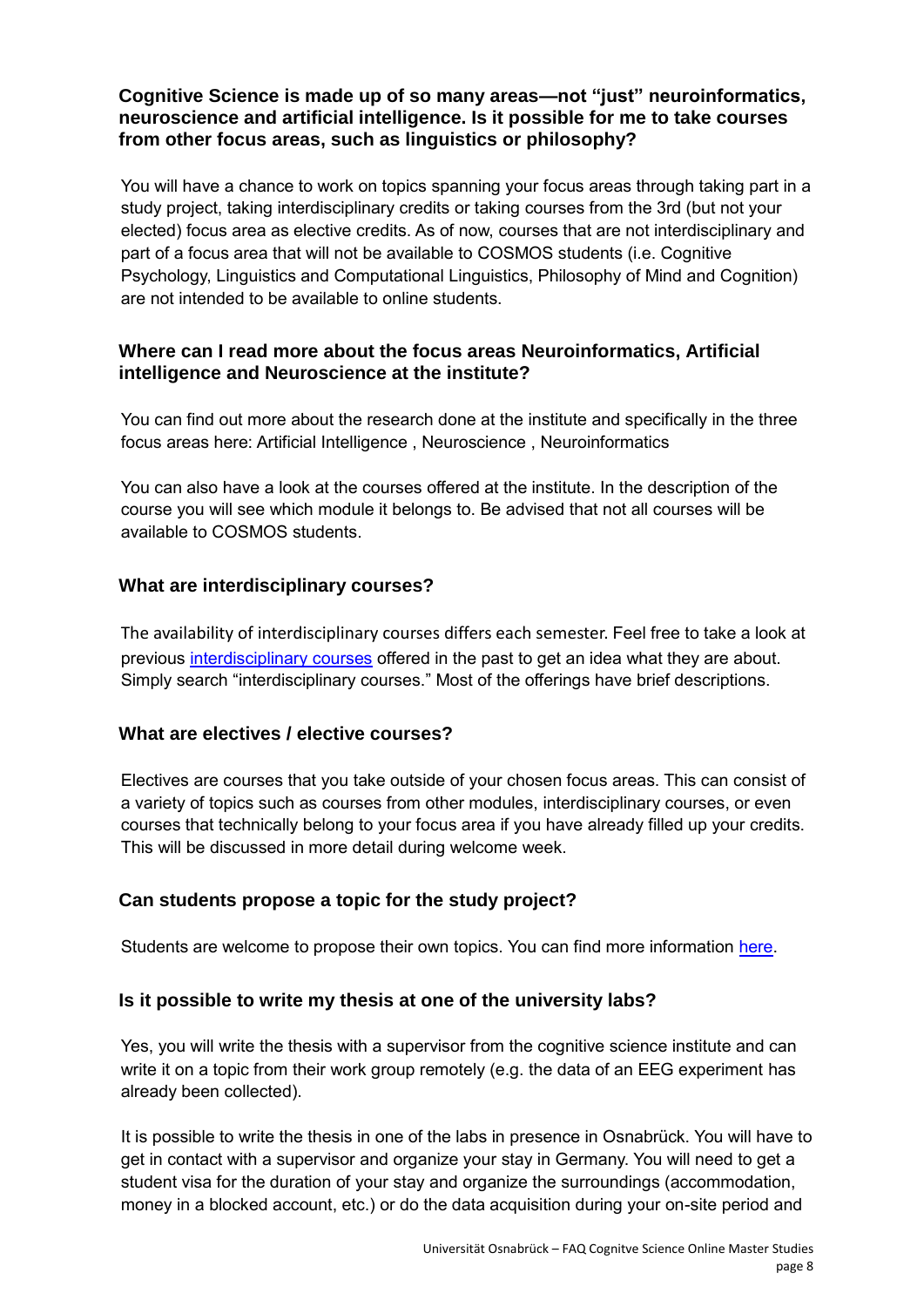# **Cognitive Science is made up of so many areas—not "just" neuroinformatics, neuroscience and artificial intelligence. Is it possible for me to take courses from other focus areas, such as linguistics or philosophy?**

You will have a chance to work on topics spanning your focus areas through taking part in a study project, taking interdisciplinary credits or taking courses from the 3rd (but not your elected) focus area as elective credits. As of now, courses that are not interdisciplinary and part of a focus area that will not be available to COSMOS students (i.e. Cognitive Psychology, Linguistics and Computational Linguistics, Philosophy of Mind and Cognition) are not intended to be available to online students.

# **Where can I read more about the focus areas Neuroinformatics, Artificial intelligence and Neuroscience at the institute?**

You can find out more about the research done at the institute and specifically in the three focus areas here: [Artificial Intelligence](https://www.ikw.uni-osnabrueck.de/en/research_groups/artificial_intelligence/overview.html) , [Neuroscience](https://www.ikw.uni-osnabrueck.de/en/research_groups/neurobiopsychology.html) , [Neuroinformatics](https://www.ikw.uni-osnabrueck.de/en/research_groups/neuroinformatics/overview.html)

You can also have a look at the [courses offered at](https://www.ikw.uni-osnabrueck.de/en/courses_of_study/lectures.html) the institute. In the description of the course you will see which module it belongs to. Be advised that not all courses will be available to COSMOS students.

# **What are interdisciplinary courses?**

The availability of interdisciplinary courses differs each semester. Feel free to take a look at previous [interdisciplinary courses](https://www.ikw.uni-osnabrueck.de/en/courses_of_study/lectures.html) offered in the past to get an idea what they are about. Simply search "interdisciplinary courses." Most of the offerings have brief descriptions.

# **What are electives / elective courses?**

Electives are courses that you take outside of your chosen focus areas. This can consist of a variety of topics such as courses from other modules, interdisciplinary courses, or even courses that technically belong to your focus area if you have already filled up your credits. This will be discussed in more detail during welcome week.

# **Can students propose a topic for the study project?**

Students are welcome to propose their own topics. You can find more information [here.](https://www.ikw.uni-osnabrueck.de/en/courses_of_study/master_programs/cognitive_science_msc/study_projects.html)

# **Is it possible to write my thesis at one of the university labs?**

Yes, you will write the thesis with a supervisor from the cognitive science institute and can write it on a topic from their work group remotely (e.g. the data of an EEG experiment has already been collected).

It is possible to write the thesis in one of the labs in presence in Osnabrück. You will have to get in contact with a supervisor and organize your stay in Germany. You will need to get a student visa for the duration of your stay and organize the surroundings (accommodation, money in a blocked account, etc.) or do the data acquisition during your on-site period and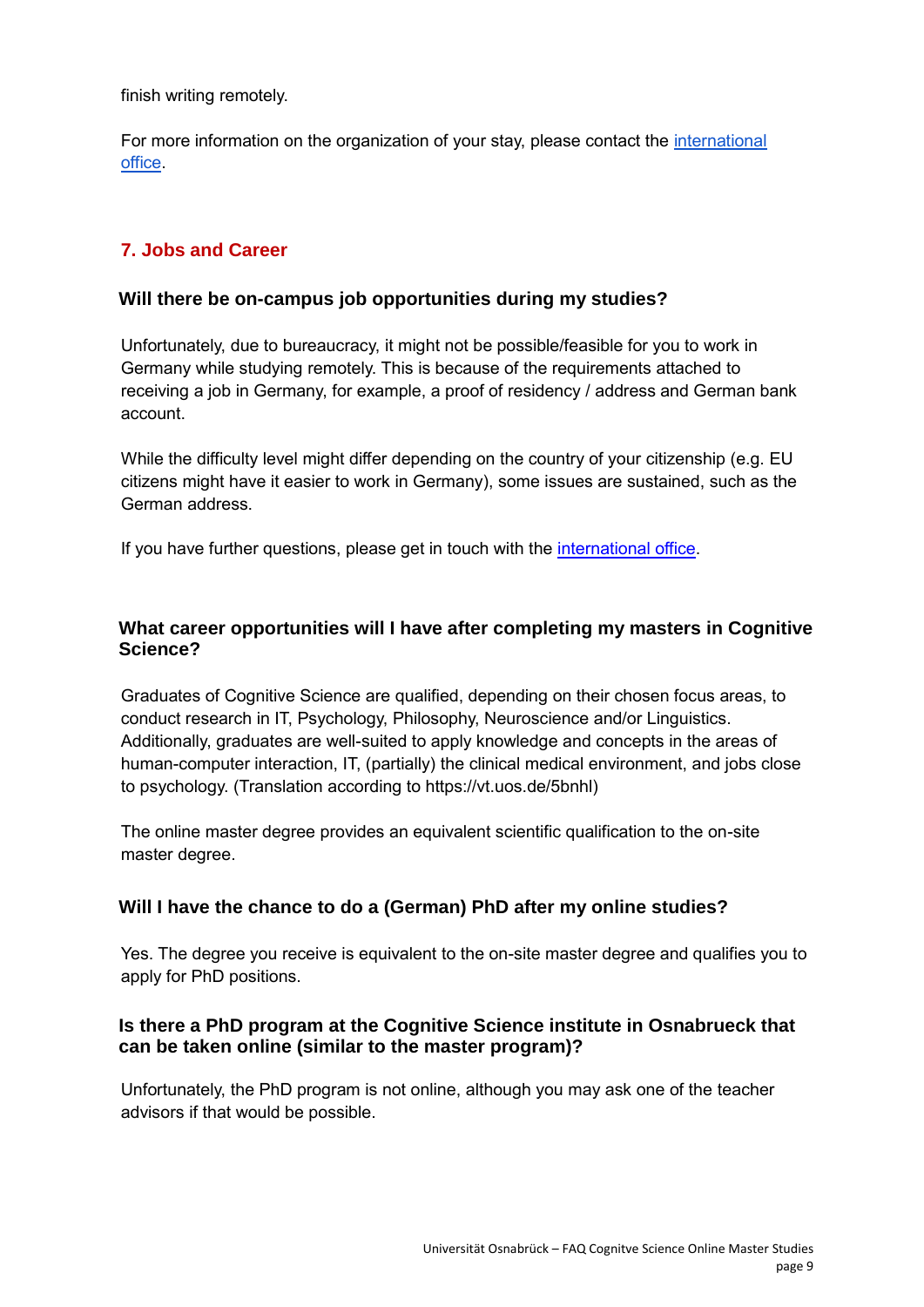finish writing remotely.

For more information on the organization of your stay, please contact the *international* [office.](https://www.uni-osnabrueck.de/en/university/service-facilities/studentisches/international-office/)

# <span id="page-8-0"></span>**7. Jobs and Career**

#### **Will there be on-campus job opportunities during my studies?**

Unfortunately, due to bureaucracy, it might not be possible/feasible for you to work in Germany while studying remotely. This is because of the requirements attached to receiving a job in Germany, for example, a proof of residency / address and German bank account.

While the difficulty level might differ depending on the country of your citizenship (e.g. EU citizens might have it easier to work in Germany), some issues are sustained, such as the German address.

If you have further questions, please get in touch with the [international office.](https://www.uni-osnabrueck.de/en/university/service-facilities/studentisches/international-office/)

# **What career opportunities will I have after completing my masters in Cognitive Science?**

Graduates of Cognitive Science are qualified, depending on their chosen focus areas, to conduct research in IT, Psychology, Philosophy, Neuroscience and/or Linguistics. Additionally, graduates are well-suited to apply knowledge and concepts in the areas of human-computer interaction, IT, (partially) the clinical medical environment, and jobs close to psychology. (Translation according to https://vt.uos.de/5bnhl)

The online master degree provides an equivalent scientific qualification to the on-site master degree.

## **Will I have the chance to do a (German) PhD after my online studies?**

Yes. The degree you receive is equivalent to the on-site master degree and qualifies you to apply for PhD positions.

## **Is there a PhD program at the Cognitive Science institute in Osnabrueck that can be taken online (similar to the master program)?**

Unfortunately, the PhD program is not online, although you may ask one of the [teacher](https://www.ikw.uni-osnabrueck.de/en/studiengaenge_english/student_advisory.html#c15949)  [advisors](https://www.ikw.uni-osnabrueck.de/en/studiengaenge_english/student_advisory.html#c15949) if that would be possible.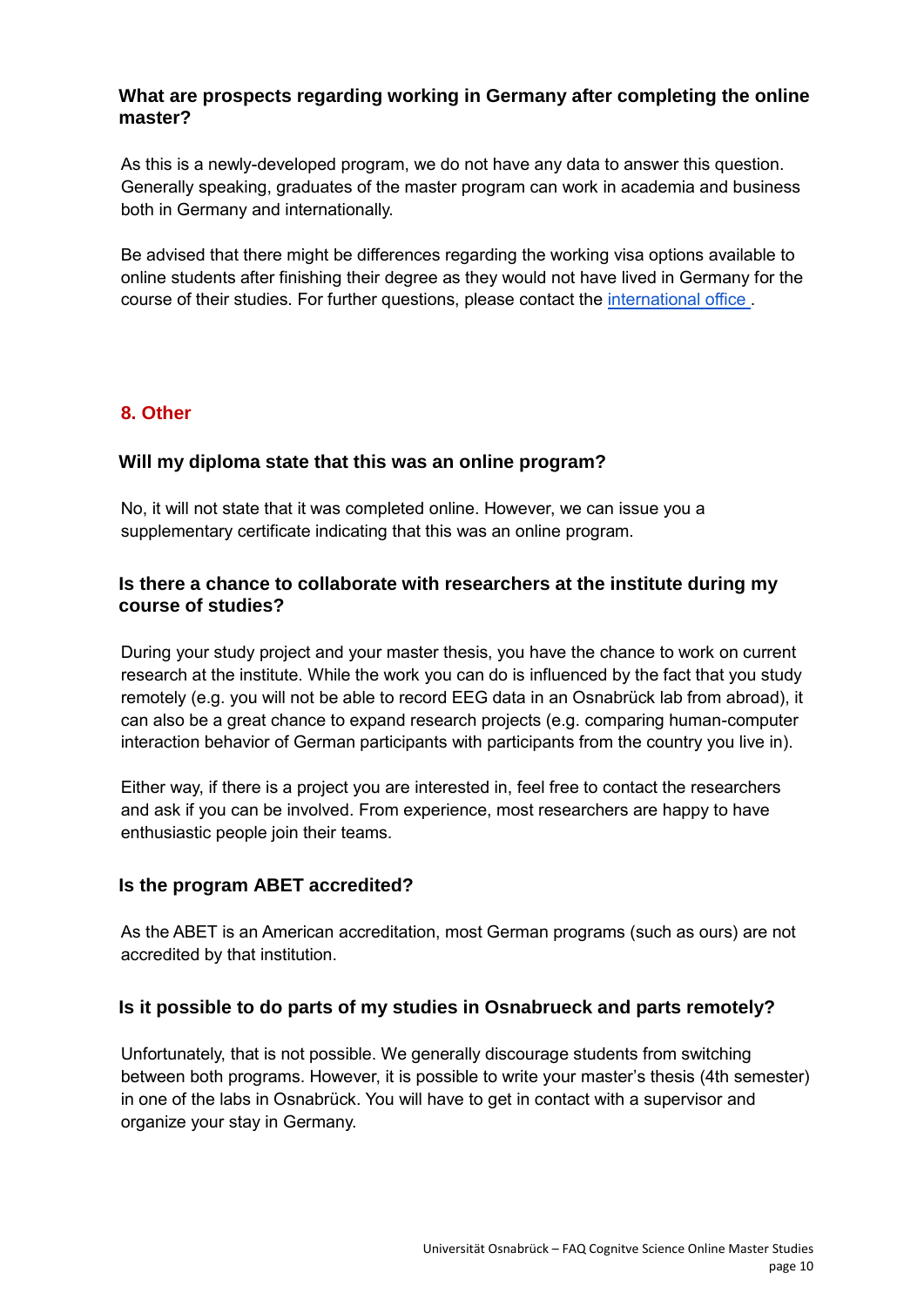## **What are prospects regarding working in Germany after completing the online master?**

As this is a newly-developed program, we do not have any data to answer this question. Generally speaking, graduates of the master program can work in academia and business both in Germany and internationally.

Be advised that there might be differences regarding the working visa options available to online students after finishing their degree as they would not have lived in Germany for the course of their studies. For further questions, please contact the [international office .](https://www.uni-osnabrueck.de/en/university/service-facilities/studentisches/international-office/)

## <span id="page-9-0"></span>**8. Other**

# **Will my diploma state that this was an online program?**

No, it will not state that it was completed online. However, we can issue you a supplementary certificate indicating that this was an online program.

# **Is there a chance to collaborate with researchers at the institute during my course of studies?**

During your study project and your master thesis, you have the chance to work on current research at the institute. While the work you can do is influenced by the fact that you study remotely (e.g. you will not be able to record EEG data in an Osnabrück lab from abroad), it can also be a great chance to expand research projects (e.g. comparing human-computer interaction behavior of German participants with participants from the country you live in).

Either way, if there is a project you are interested in, feel free to contact the researchers and ask if you can be involved. From experience, most researchers are happy to have enthusiastic people join their teams.

## **Is the program ABET accredited?**

As the ABET is an American accreditation, most German programs (such as ours) are not accredited by that institution.

## **Is it possible to do parts of my studies in Osnabrueck and parts remotely?**

Unfortunately, that is not possible. We generally discourage students from switching between both programs. However, it is possible to write your master's thesis (4th semester) in one of the labs in Osnabrück. You will have to get in contact with a supervisor and organize your stay in Germany.